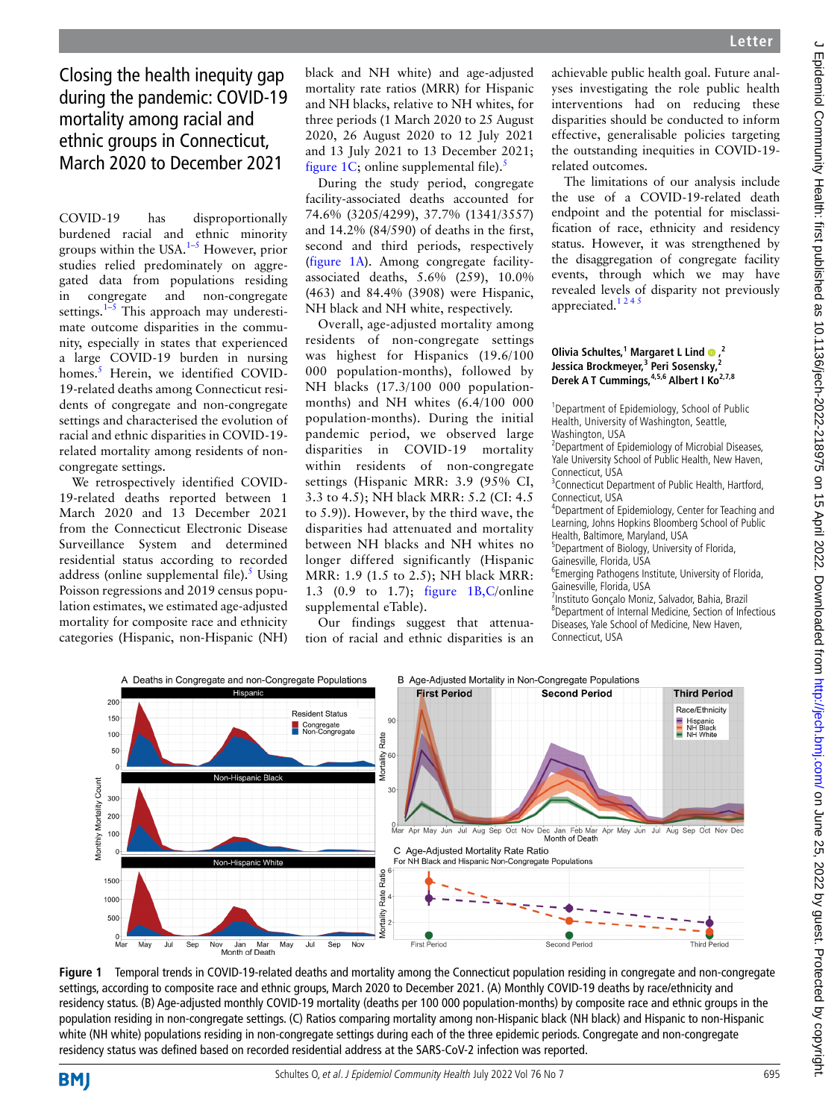Closing the health inequity gap during the pandemic: COVID-19 mortality among racial and ethnic groups in Connecticut, March 2020 to December 2021

COVID-19 has disproportionally burdened racial and ethnic minority groups within the USA. $1-5$  However, prior studies relied predominately on aggregated data from populations residing in congregate and non-congregate settings.<sup>1–5</sup> This approach may underestimate outcome disparities in the community, especially in states that experienced a large COVID-19 burden in nursing homes.<sup>5</sup> Herein, we identified COVID-19-related deaths among Connecticut residents of congregate and non-congregate settings and characterised the evolution of racial and ethnic disparities in COVID-19 related mortality among residents of noncongregate settings.

We retrospectively identified COVID-19-related deaths reported between 1 March 2020 and 13 December 2021 from the Connecticut Electronic Disease Surveillance System and determined residential status according to recorded address (online supplemental file). $5$  Using Poisson regressions and 2019 census population estimates, we estimated age-adjusted mortality for composite race and ethnicity categories (Hispanic, non-Hispanic (NH)

black and NH white) and age-adjusted mortality rate ratios (MRR) for Hispanic and NH blacks, relative to NH whites, for three periods (1 March 2020 to 25 August 2020, 26 August 2020 to 12 July 2021 and 13 July 2021 to 13 December 2021; figure 1C; online supplemental file).<sup>5</sup>

During the study period, congregate facility-associated deaths accounted for 74.6% (3205/4299), 37.7% (1341/3557) and 14.2% (84/590) of deaths in the first, second and third periods, respectively (figure 1A). Among congregate facilityassociated deaths, 5.6% (259), 10.0% (463) and 84.4% (3908) were Hispanic, NH black and NH white, respectively.

Overall, age-adjusted mortality among residents of non-congregate settings was highest for Hispanics (19.6/100 000 population-months), followed by NH blacks (17.3/100 000 populationmonths) and NH whites (6.4/100 000 population-months). During the initial pandemic period, we observed large disparities in COVID-19 mortality within residents of non-congregate settings (Hispanic MRR: 3.9 (95% CI, 3.3 to 4.5); NH black MRR: 5.2 (CI: 4.5 to 5.9)). However, by the third wave, the disparities had attenuated and mortality between NH blacks and NH whites no longer differed significantly (Hispanic MRR: 1.9 (1.5 to 2.5); NH black MRR: 1.3 (0.9 to 1.7); figure 1B,C/online supplemental eTable).

Our findings suggest that attenuation of racial and ethnic disparities is an achievable public health goal. Future analyses investigating the role public health interventions had on reducing these disparities should be conducted to inform effective, generalisable policies targeting the outstanding inequities in COVID-19 related outcomes.

The limitations of our analysis include the use of a COVID-19-related death endpoint and the potential for misclassification of race, ethnicity and residency status. However, it was strengthened by the disaggregation of congregate facility events, through which we may have revealed levels of disparity not previously appreciated.<sup>1245</sup>

## **Olivia Schultes,<sup>1</sup> Margaret L Lind @,<sup>2</sup> Jessica Brockmeyer,3 Peri Sosensky,2** Derek A T Cummings, <sup>4,5,6</sup> Albert I Ko<sup>2,7,8</sup>

<sup>1</sup>Department of Epidemiology, School of Public Health, University of Washington, Seattle, Washington, USA

<sup>2</sup> Department of Epidemiology of Microbial Diseases, Yale University School of Public Health, New Haven, Connecticut, USA

<sup>3</sup> Connecticut Department of Public Health, Hartford, Connecticut, USA

4 Department of Epidemiology, Center for Teaching and Learning, Johns Hopkins Bloomberg School of Public Health, Baltimore, Maryland, USA

5 Department of Biology, University of Florida,

Gainesville, Florida, USA

6 Emerging Pathogens Institute, University of Florida, Gainesville, Florida, USA

7 Instituto Gonçalo Moniz, Salvador, Bahia, Brazil 8 Department of Internal Medicine, Section of Infectious Diseases, Yale School of Medicine, New Haven, Connecticut, USA



**Figure 1** Temporal trends in COVID-19-related deaths and mortality among the Connecticut population residing in congregate and non-congregate settings, according to composite race and ethnic groups, March 2020 to December 2021. (A) Monthly COVID-19 deaths by race/ethnicity and residency status. (B) Age-adjusted monthly COVID-19 mortality (deaths per 100 000 population-months) by composite race and ethnic groups in the population residing in non-congregate settings. (C) Ratios comparing mortality among non-Hispanic black (NH black) and Hispanic to non-Hispanic white (NH white) populations residing in non-congregate settings during each of the three epidemic periods. Congregate and non-congregate residency status was defined based on recorded residential address at the SARS-CoV-2 infection was reported.